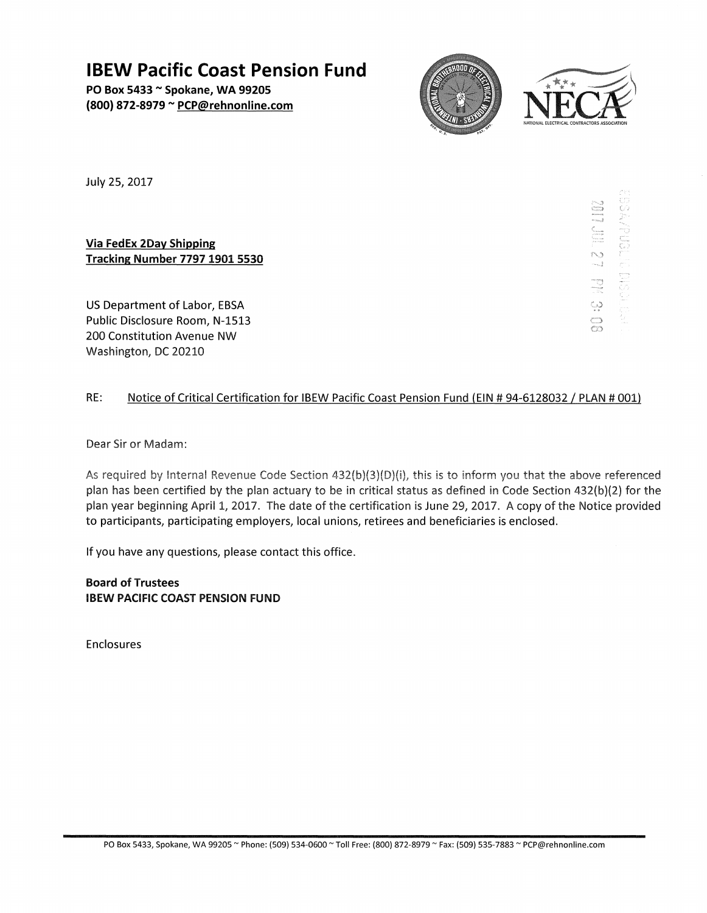**IBEW Pacific Coast Pension Fund** 

PO Box 5433 ~ Spokane, WA 99205 (800) 872-8979 ~ PCP@rehnonline.com





july 25, 2017

Via FedEx 2Day Shipping **Tracking Number 7797 1901 5530** 

US Department of Labor, EBSA Public Disclosure Room, N-1513 200 Constitution Avenue NW Washington, DC 20210

SO 12 IN 12 IN 20 

# RE: Notice of Critical Certification for IBEW Pacific Coast Pension Fund (EIN # 94-6128032 / PLAN # 001)

Dear Sir or Madam:

As required by Internal Revenue Code Section 432(b)(3)(D)(i), this is to inform you that the above referenced plan has been certified by the plan actuary to be in critical status as defined in Code Section 432(b)(2) for the plan year beginning April 1, 2017. The date of the certification is June 29, 2017. A copy of the Notice provided to participants, participating employers, local unions, retirees and beneficiaries is enclosed.

If you have any questions, please contact this office.

Board of Trustees IBEW PACIFIC COAST PENSION FUND

Enclosures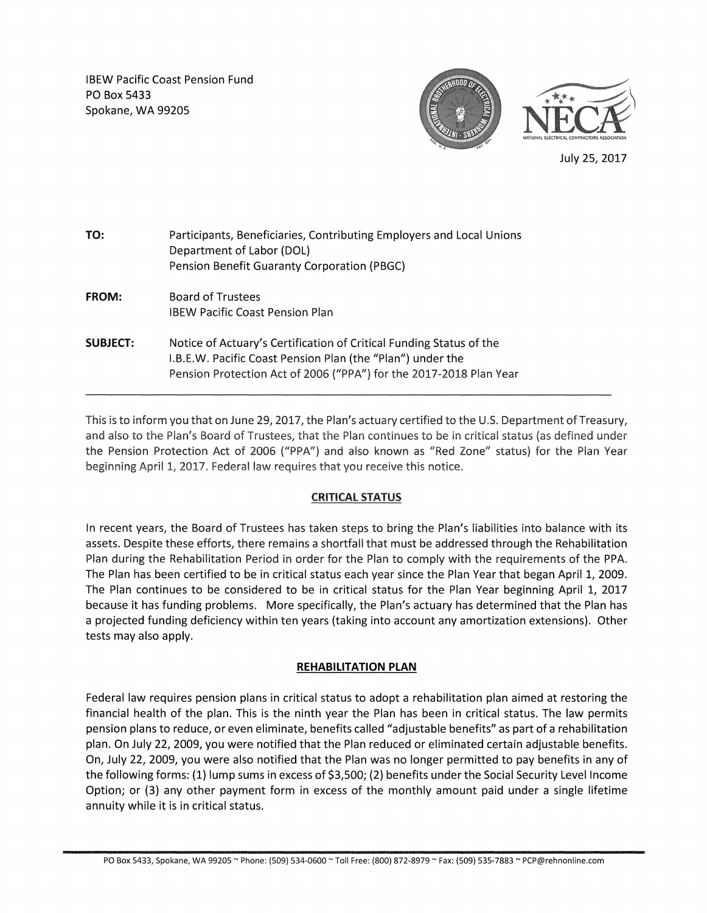IBEW Pacific Coast Pension Fund PO Box 5433 Spokane, WA 99205



July 25, 2017

| TO:             | Participants, Beneficiaries, Contributing Employers and Local Unions<br>Department of Labor (DOL)<br>Pension Benefit Guaranty Corporation (PBGC)                                                        |
|-----------------|---------------------------------------------------------------------------------------------------------------------------------------------------------------------------------------------------------|
| <b>FROM:</b>    | Board of Trustees<br><b>IBEW Pacific Coast Pension Plan</b>                                                                                                                                             |
| <b>SUBJECT:</b> | Notice of Actuary's Certification of Critical Funding Status of the<br>I.B.E.W. Pacific Coast Pension Plan (the "Plan") under the<br>Pension Protection Act of 2006 ("PPA") for the 2017-2018 Plan Year |

**This is to inform you that on June 29, 2017, the Plan's actuary certified to the** U.S. **Department of Treasury,**  and also to the Plan's Board of Trustees, that the Plan continues to be in critical status (as defined under the Pension Protection Act of 2006 ("PPA") and also known as "Red Zone" status) for the Plan Year beginning April 1, 2017. Federal law requires that you receive this notice.

## CRITICAL STATUS

In recent years, the Board of Trustees has taken steps to bring the Plan's liabilities into balance with its assets. Despite these efforts, there remains a shortfall that must be addressed through the Rehabilitation Plan during the Rehabilitation Period in order for the Plan to comply with the requirements of the PPA. The Plan has been certified to be in critical status each year since the Plan Year that began April 1, 2009. The Plan continues to be considered to be in critical status for the Plan Year beginning April 1, 2017 because it has funding problems. More specifically, the Plan's actuary has determined that the Plan has a projected funding deficiency within ten years (taking into account any amortization extensions). Other tests may also apply.

## **REHABILITATION PLAN**

Federal law requires pension plans in critical status to adopt a rehabilitation plan aimed at restoring the financial health of the plan. This is the ninth year the Plan has been in critical status. The law permits pension plans to reduce, or even eliminate, benefits called "adjustable benefits" as part of a rehabilitation plan. On July 22, 2009, you were notified that the Plan reduced or eliminated certain adjustable benefits. On, July 22, 2009, you were also notified that the Plan was no longer permitted to pay benefits in any of the following forms: (1) lump sums in excess of \$3,500; (2) benefits under the Social Security Level Income Option; or (3) any other payment form in excess of the monthly amount paid under a single lifetime annuity while it is in critical status.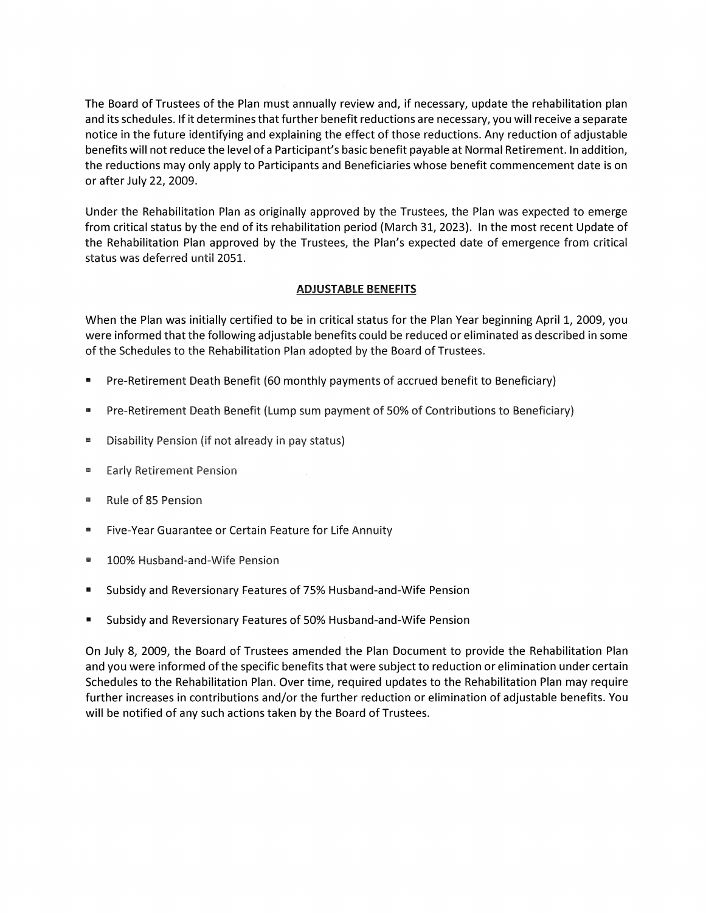The Board of Trustees of the Plan must annually review and, if necessary, update the rehabilitation plan and its schedules. If it determines that further benefit reductions are necessary, you will receive a separate notice in the future identifying and explaining the effect of those reductions. Any reduction of adjustable benefits will not reduce the level of a Participant's basic benefit payable at Normal Retirement. In addition, the reductions may only apply to Participants and Beneficiaries whose benefit commencement date is on or after July 22, 2009.

Under the Rehabilitation Plan as originally approved by the Trustees, the Plan was expected to emerge from critical status by the end of its rehabilitation period (March 31, 2023). In the most recent Update of the Rehabilitation Plan approved by the Trustees, the Plan's expected date of emergence from critical status was deferred until 2051.

## **ADJUSTABLE BENEFITS**

When the Plan was initially certified to be in critical status for the Plan Year beginning April 1, 2009, you were informed that the following adjustable benefits could be reduced or eliminated as described in some of the Schedules to the Rehabilitation Plan adopted by the Board of Trustees.

- Pre-Retirement Death Benefit (60 monthly payments of accrued benefit to Beneficiary)
- Pre-Retirement Death Benefit (Lump sum payment of 50% of Contributions to Beneficiary)
- Disability Pension (if not already in pay status)
- Early Retirement Pension
- Rule of 85 Pension
- Five-Year Guarantee or Certain Feature for Life Annuity
- 100% Husband-and-Wife Pension
- Subsidy and Reversionary Features of 75% Husband-and-Wife Pension
- Subsidy and Reversionary Features of 50% Husband-and-Wife Pension

On July 8, 2009, the Board of Trustees amended the Plan Document to provide the Rehabilitation Plan and you were informed of the specific benefits that were subject to reduction or elimination under certain Schedules to the Rehabilitation Plan. Over time, required updates to the Rehabilitation Plan may require further increases in contributions and/or the further reduction or elimination of adjustable benefits. You will be notified of any such actions taken by the Board of Trustees.